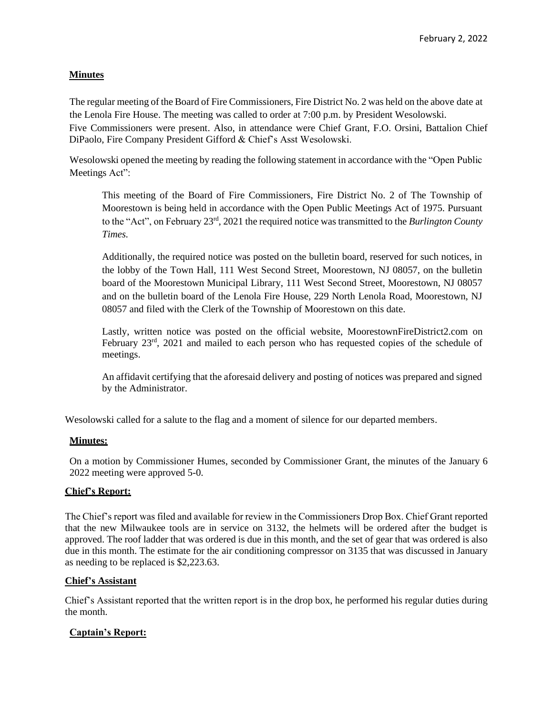# **Minutes**

The regular meeting of the Board of Fire Commissioners, Fire District No. 2 was held on the above date at the Lenola Fire House. The meeting was called to order at 7:00 p.m. by President Wesolowski. Five Commissioners were present. Also, in attendance were Chief Grant, F.O. Orsini, Battalion Chief DiPaolo, Fire Company President Gifford & Chief's Asst Wesolowski.

Wesolowski opened the meeting by reading the following statement in accordance with the "Open Public Meetings Act":

This meeting of the Board of Fire Commissioners, Fire District No. 2 of The Township of Moorestown is being held in accordance with the Open Public Meetings Act of 1975. Pursuant to the "Act", on February 23rd , 2021 the required notice was transmitted to the *Burlington County Times.*

Additionally, the required notice was posted on the bulletin board, reserved for such notices, in the lobby of the Town Hall, 111 West Second Street, Moorestown, NJ 08057, on the bulletin board of the Moorestown Municipal Library, 111 West Second Street, Moorestown, NJ 08057 and on the bulletin board of the Lenola Fire House, 229 North Lenola Road, Moorestown, NJ 08057 and filed with the Clerk of the Township of Moorestown on this date.

Lastly, written notice was posted on the official website, MoorestownFireDistrict2.com on February 23<sup>rd</sup>, 2021 and mailed to each person who has requested copies of the schedule of meetings.

An affidavit certifying that the aforesaid delivery and posting of notices was prepared and signed by the Administrator.

Wesolowski called for a salute to the flag and a moment of silence for our departed members.

#### **Minutes:**

On a motion by Commissioner Humes, seconded by Commissioner Grant, the minutes of the January 6 2022 meeting were approved 5-0.

#### **Chief's Report:**

The Chief's report was filed and available for review in the Commissioners Drop Box. Chief Grant reported that the new Milwaukee tools are in service on 3132, the helmets will be ordered after the budget is approved. The roof ladder that was ordered is due in this month, and the set of gear that was ordered is also due in this month. The estimate for the air conditioning compressor on 3135 that was discussed in January as needing to be replaced is \$2,223.63.

#### **Chief's Assistant**

Chief's Assistant reported that the written report is in the drop box, he performed his regular duties during the month.

# **Captain's Report:**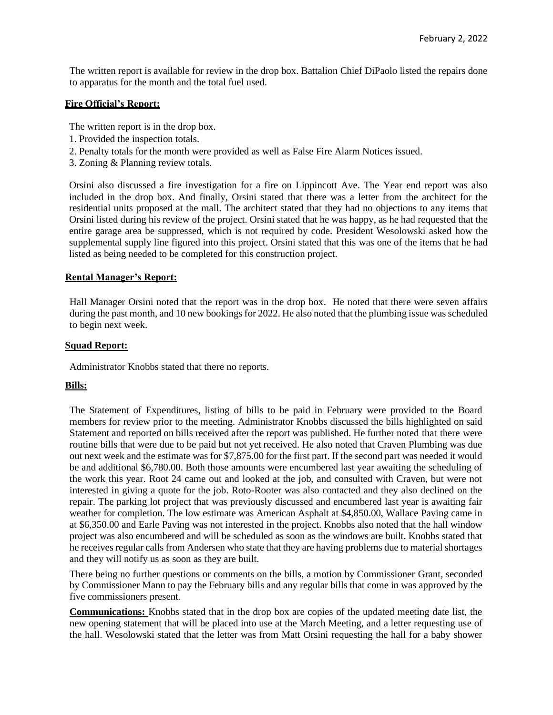The written report is available for review in the drop box. Battalion Chief DiPaolo listed the repairs done to apparatus for the month and the total fuel used.

# **Fire Official's Report:**

The written report is in the drop box.

- 1. Provided the inspection totals.
- 2. Penalty totals for the month were provided as well as False Fire Alarm Notices issued.
- 3. Zoning & Planning review totals.

Orsini also discussed a fire investigation for a fire on Lippincott Ave. The Year end report was also included in the drop box. And finally, Orsini stated that there was a letter from the architect for the residential units proposed at the mall. The architect stated that they had no objections to any items that Orsini listed during his review of the project. Orsini stated that he was happy, as he had requested that the entire garage area be suppressed, which is not required by code. President Wesolowski asked how the supplemental supply line figured into this project. Orsini stated that this was one of the items that he had listed as being needed to be completed for this construction project.

#### **Rental Manager's Report:**

Hall Manager Orsini noted that the report was in the drop box. He noted that there were seven affairs during the past month, and 10 new bookings for 2022. He also noted that the plumbing issue was scheduled to begin next week.

### **Squad Report:**

Administrator Knobbs stated that there no reports.

# **Bills:**

The Statement of Expenditures, listing of bills to be paid in February were provided to the Board members for review prior to the meeting. Administrator Knobbs discussed the bills highlighted on said Statement and reported on bills received after the report was published. He further noted that there were routine bills that were due to be paid but not yet received. He also noted that Craven Plumbing was due out next week and the estimate was for \$7,875.00 for the first part. If the second part was needed it would be and additional \$6,780.00. Both those amounts were encumbered last year awaiting the scheduling of the work this year. Root 24 came out and looked at the job, and consulted with Craven, but were not interested in giving a quote for the job. Roto-Rooter was also contacted and they also declined on the repair. The parking lot project that was previously discussed and encumbered last year is awaiting fair weather for completion. The low estimate was American Asphalt at \$4,850.00, Wallace Paving came in at \$6,350.00 and Earle Paving was not interested in the project. Knobbs also noted that the hall window project was also encumbered and will be scheduled as soon as the windows are built. Knobbs stated that he receives regular calls from Andersen who state that they are having problems due to material shortages and they will notify us as soon as they are built.

There being no further questions or comments on the bills, a motion by Commissioner Grant, seconded by Commissioner Mann to pay the February bills and any regular bills that come in was approved by the five commissioners present.

**Communications:** Knobbs stated that in the drop box are copies of the updated meeting date list, the new opening statement that will be placed into use at the March Meeting, and a letter requesting use of the hall. Wesolowski stated that the letter was from Matt Orsini requesting the hall for a baby shower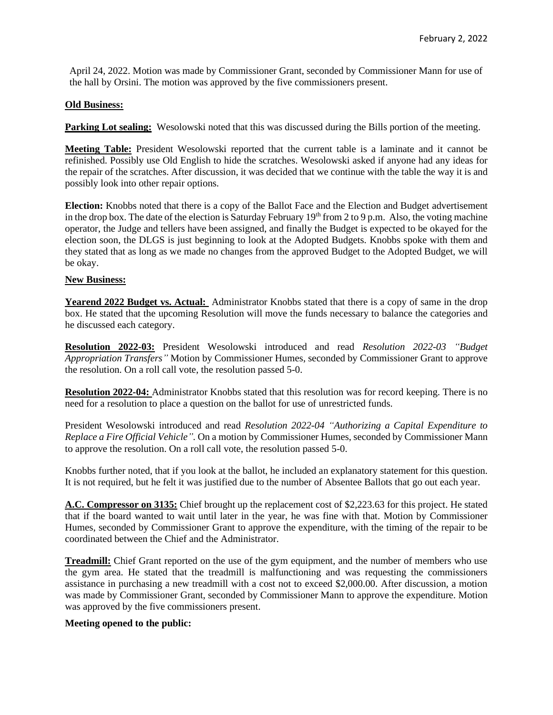April 24, 2022. Motion was made by Commissioner Grant, seconded by Commissioner Mann for use of the hall by Orsini. The motion was approved by the five commissioners present.

### **Old Business:**

**Parking Lot sealing:** Wesolowski noted that this was discussed during the Bills portion of the meeting.

**Meeting Table:** President Wesolowski reported that the current table is a laminate and it cannot be refinished. Possibly use Old English to hide the scratches. Wesolowski asked if anyone had any ideas for the repair of the scratches. After discussion, it was decided that we continue with the table the way it is and possibly look into other repair options.

**Election:** Knobbs noted that there is a copy of the Ballot Face and the Election and Budget advertisement in the drop box. The date of the election is Saturday February  $19<sup>th</sup>$  from 2 to 9 p.m. Also, the voting machine operator, the Judge and tellers have been assigned, and finally the Budget is expected to be okayed for the election soon, the DLGS is just beginning to look at the Adopted Budgets. Knobbs spoke with them and they stated that as long as we made no changes from the approved Budget to the Adopted Budget, we will be okay.

### **New Business:**

Yearend 2022 Budget vs. Actual: Administrator Knobbs stated that there is a copy of same in the drop box. He stated that the upcoming Resolution will move the funds necessary to balance the categories and he discussed each category.

**Resolution 2022-03:** President Wesolowski introduced and read *Resolution 2022-03 "Budget Appropriation Transfers"* Motion by Commissioner Humes, seconded by Commissioner Grant to approve the resolution. On a roll call vote, the resolution passed 5-0.

**Resolution 2022-04:** Administrator Knobbs stated that this resolution was for record keeping. There is no need for a resolution to place a question on the ballot for use of unrestricted funds.

President Wesolowski introduced and read *Resolution 2022-04 "Authorizing a Capital Expenditure to Replace a Fire Official Vehicle".* On a motion by Commissioner Humes, seconded by Commissioner Mann to approve the resolution. On a roll call vote, the resolution passed 5-0.

Knobbs further noted, that if you look at the ballot, he included an explanatory statement for this question. It is not required, but he felt it was justified due to the number of Absentee Ballots that go out each year.

**A.C. Compressor on 3135:** Chief brought up the replacement cost of \$2,223.63 for this project. He stated that if the board wanted to wait until later in the year, he was fine with that. Motion by Commissioner Humes, seconded by Commissioner Grant to approve the expenditure, with the timing of the repair to be coordinated between the Chief and the Administrator.

**Treadmill:** Chief Grant reported on the use of the gym equipment, and the number of members who use the gym area. He stated that the treadmill is malfunctioning and was requesting the commissioners assistance in purchasing a new treadmill with a cost not to exceed \$2,000.00. After discussion, a motion was made by Commissioner Grant, seconded by Commissioner Mann to approve the expenditure. Motion was approved by the five commissioners present.

#### **Meeting opened to the public:**